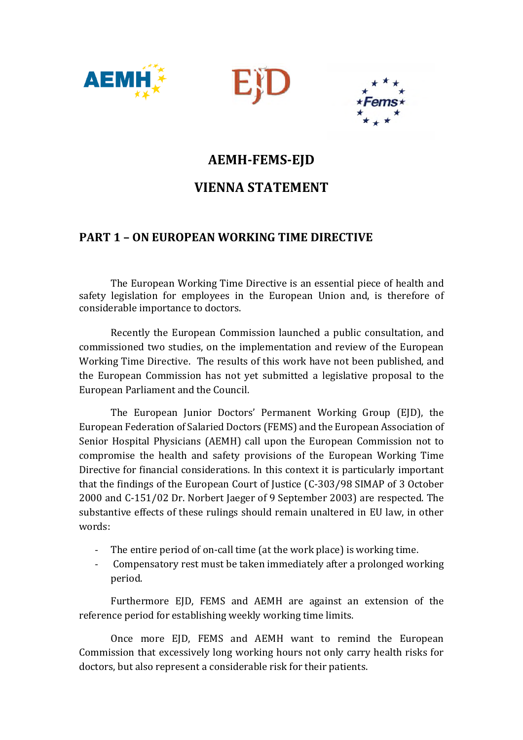





# **AEMH-FEMS-EJD**

# **VIENNA STATEMENT**

## **PART 1 – ON EUROPEAN WORKING TIME DIRECTIVE**

The European Working Time Directive is an essential piece of health and safety legislation for employees in the European Union and, is therefore of considerable importance to doctors.

Recently the European Commission launched a public consultation, and commissioned two studies, on the implementation and review of the European Working Time Directive. The results of this work have not been published, and the European Commission has not yet submitted a legislative proposal to the European Parliament and the Council.

The European Junior Doctors' Permanent Working Group (EJD), the European Federation of Salaried Doctors (FEMS) and the European Association of Senior Hospital Physicians (AEMH) call upon the European Commission not to compromise the health and safety provisions of the European Working Time Directive for financial considerations. In this context it is particularly important that the findings of the European Court of Justice (C-303/98 SIMAP of 3 October 2000 and C-151/02 Dr. Norbert Jaeger of 9 September 2003) are respected. The substantive effects of these rulings should remain unaltered in EU law, in other words:

- The entire period of on-call time (at the work place) is working time.
- Compensatory rest must be taken immediately after a prolonged working period.

Furthermore EJD, FEMS and AEMH are against an extension of the reference period for establishing weekly working time limits.

Once more EJD, FEMS and AEMH want to remind the European Commission that excessively long working hours not only carry health risks for doctors, but also represent a considerable risk for their patients.